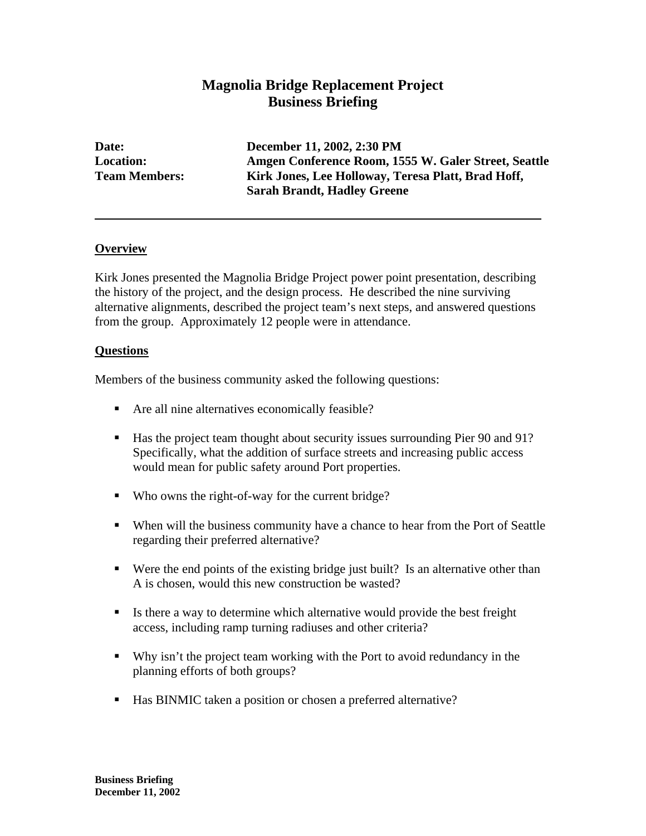# **Magnolia Bridge Replacement Project Business Briefing**

**Date: December 11, 2002, 2:30 PM Location: Amgen Conference Room, 1555 W. Galer Street, Seattle Team Members: Kirk Jones, Lee Holloway, Teresa Platt, Brad Hoff, Sarah Brandt, Hadley Greene** 

### **Overview**

Kirk Jones presented the Magnolia Bridge Project power point presentation, describing the history of the project, and the design process. He described the nine surviving alternative alignments, described the project team's next steps, and answered questions from the group. Approximately 12 people were in attendance.

#### **Questions**

Members of the business community asked the following questions:

- Are all nine alternatives economically feasible?
- Has the project team thought about security issues surrounding Pier 90 and 91? Specifically, what the addition of surface streets and increasing public access would mean for public safety around Port properties.
- Who owns the right-of-way for the current bridge?
- When will the business community have a chance to hear from the Port of Seattle regarding their preferred alternative?
- Were the end points of the existing bridge just built? Is an alternative other than A is chosen, would this new construction be wasted?
- Is there a way to determine which alternative would provide the best freight access, including ramp turning radiuses and other criteria?
- Why isn't the project team working with the Port to avoid redundancy in the planning efforts of both groups?
- Has BINMIC taken a position or chosen a preferred alternative?